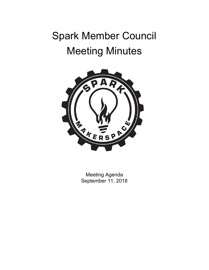# Spark Member Council Meeting Minutes



Meeting Agenda September 11, 2018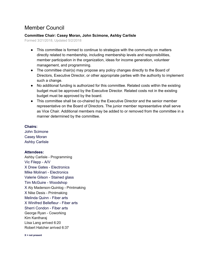### Member Council

#### **Committee Chair: Casey Moran, John Scimone, Ashby Carlisle**

Formed 3/21/2018, Updated 5/2/2018

- This committee is formed to continue to strategize with the community on matters directly related to membership, including membership levels and responsibilities, member participation in the organization, ideas for income generation, volunteer management, and programming.
- The committee chair(s) may propose any policy changes directly to the Board of Directors, Executive Director, or other appropriate parties with the authority to implement such a change.
- No additional funding is authorized for this committee. Related costs within the existing budget must be approved by the Executive Director. Related costs not in the existing budget must be approved by the board.
- This committee shall be co-chaired by the Executive Director and the senior member representative on the Board of Directors. The junior member representative shall serve as Vice Chair. Additional members may be added to or removed from the committee in a manner determined by the committee.

#### **Chairs:**

John Scimone Casey Moran Ashby Carlisle

#### **Attendees:**

Ashby Carlisle - Programming Vic Filepp - A/V X Drew Gates - Electronics Mike Molinari - Electronics Valerie Gilson - Stained glass Tim McGuire - Woodshop X Aly Maderson-Quinlog - Printmaking X Nike Desis - Printmaking Melinda Quinn - Fiber arts X Winifred Bellefleur - Fiber arts Sherri Condon - Fiber arts George Ryan - Coworking Kim Kantharaj Liisa Lang arrived 6:20 Robert Hatcher arrived 6:37

**X = not present**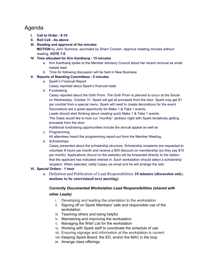## Agenda

- **I. Call to Order - 6:10**
- **II. Roll Call - As above**
- **III. Reading and approval of the minutes**

**MOTION** by John Scimone, seconded by Sherri Condon. Approve meeting minutes without reading. **VOTE 7-0**

#### **IV. Time allocated for Kim Kantharaj - 15 minutes**

- a. Kim Kantharaj spoke to the Member Advisory Council about her recent removal as small metals lead.
- b. Time for following discussion will be held in New Business

#### **V. Reports of Standing Committees - 5 minutes**

- a. Spark's Financial Report Casey reported about Spark's financial state
- b. Fundraising

Casey reported about the Goth Prom. The Goth Prom is planned to occur at the Social on Wednesday, October 31. Spark will get all proceeds from the door. Spark may get \$1 per cocktail from a special menu. Spark will need to create decorations for the event. Decorations are a great opportunity for Make 1 & Take 1 events.

Leads should start thinking about creating quick Make 1 & Take 1 events.

The Oasis would like to host our "monthly" Jackbox night with Spark tentatively getting proceeds from the door.

Additional fundraising opportunities include the annual appeal as well as

c. Programming

All attendees heard the programming report-out from the Member Meeting.

d. Scholarships

Casey presented about the scholarship structure. Scholarship recipients are requested to volunteer 8 hours per month and receive a \$45 discount on membership (so they pay \$10 per month). Applications (found on the website) will be forwarded directly to the station that the applicant has indicated interest in. Each workstation should select a scholarship recipient. When selected, notify Casey via email and he will arrange the rest.

#### **VI. Special Orders - 1 hour**

a. Definition and Publication of Lead Responsibilities **10 minutes (discussion only; motions to be entertained next meeting)**

#### *Currently Documented Workstation Lead Responsibilities (shared with*

#### *other Leads)*

- i. Developing and leading the orientation to the workstation
- ii. Signing off on Spark Members' safe and responsible use of the workstation
- iii. Teaching others and being helpful
- iv. Maintaining and improving the workstation
- v. Managing the Wish List for the workstation
- vi. Working with Spark staff to coordinate the schedule of use
- vii. Ensuring signage and information at the workstation is current
- viii. Keeping Spark Board, the ED, and/or the MAC in the loop
- ix. Arrange class offerings